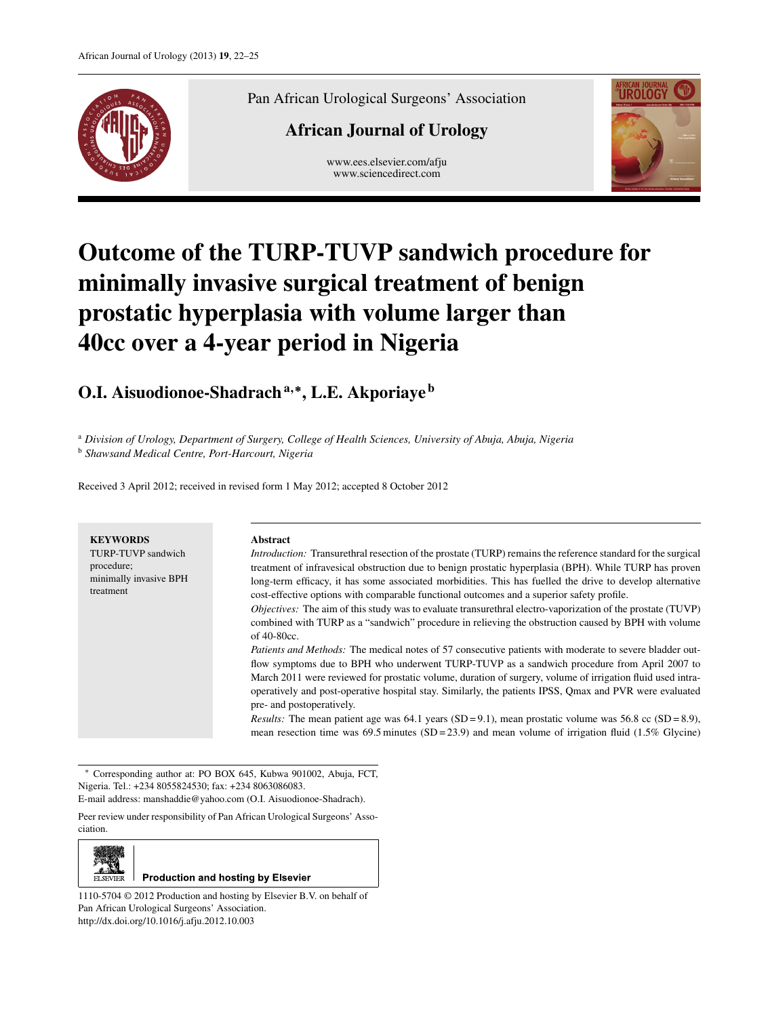

Pan African Urological Surgeons' Association

# **African Journal of Urology**

www.ees.elsevier.com/afju www.sciencedirect.com



# **Outcome of the TURP-TUVP sandwich procedure for minimally invasive surgical treatment of benign prostatic hyperplasia with volume larger than 40cc over a 4-year period in Nigeria**

**O.I. Aisuodionoe-Shadrach<sup>a</sup>***,***∗, L.E. Akporiaye <sup>b</sup>**

<sup>a</sup> *Division of Urology, Department of Surgery, College of Health Sciences, University of Abuja, Abuja, Nigeria*

<sup>b</sup> *Shawsand Medical Centre, Port-Harcourt, Nigeria*

Received 3 April 2012; received in revised form 1 May 2012; accepted 8 October 2012

| <b>KEYWORDS</b><br>TURP-TUVP sandwich<br>procedure;<br>minimally invasive BPH<br>treatment | <b>Abstract</b><br><i>Introduction:</i> Transurethral resection of the prostate (TURP) remains the reference standard for the surgical<br>treatment of infravesical obstruction due to benign prostatic hyperplasia (BPH). While TURP has proven<br>long-term efficacy, it has some associated morbidities. This has fuelled the drive to develop alternative<br>cost-effective options with comparable functional outcomes and a superior safety profile.<br>Objectives: The aim of this study was to evaluate transurethral electro-vaporization of the prostate (TUVP)<br>combined with TURP as a "sandwich" procedure in relieving the obstruction caused by BPH with volume<br>of $40-80cc$ .<br>Patients and Methods: The medical notes of 57 consecutive patients with moderate to severe bladder out-<br>flow symptoms due to BPH who underwent TURP-TUVP as a sandwich procedure from April 2007 to<br>March 2011 were reviewed for prostatic volume, duration of surgery, volume of irrigation fluid used intra-<br>operatively and post-operative hospital stay. Similarly, the patients IPSS, Omax and PVR were evaluated<br>pre- and postoperatively.<br><i>Results:</i> The mean patient age was 64.1 years (SD = 9.1), mean prostatic volume was 56.8 cc (SD = 8.9),<br>mean resection time was 69.5 minutes $(SD = 23.9)$ and mean volume of irrigation fluid (1.5% Glycine) |
|--------------------------------------------------------------------------------------------|----------------------------------------------------------------------------------------------------------------------------------------------------------------------------------------------------------------------------------------------------------------------------------------------------------------------------------------------------------------------------------------------------------------------------------------------------------------------------------------------------------------------------------------------------------------------------------------------------------------------------------------------------------------------------------------------------------------------------------------------------------------------------------------------------------------------------------------------------------------------------------------------------------------------------------------------------------------------------------------------------------------------------------------------------------------------------------------------------------------------------------------------------------------------------------------------------------------------------------------------------------------------------------------------------------------------------------------------------------------------------------------------|

∗ Corresponding author at: PO BOX 645, Kubwa 901002, Abuja, FCT, Nigeria. Tel.: +234 8055824530; fax: +234 8063086083.

E-mail address: manshaddie@yahoo.com (O.I. Aisuodionoe-Shadrach).

Peer review under responsibility of Pan African Urological Surgeons' Association.



**Production and hosting by Elsevier** 

1110-5704 © 2012 Production and hosting by Elsevier B.V. on behalf of Pan African Urological Surgeons' Association. http://dx.doi.org/10.1016/j.afju.2012.10.003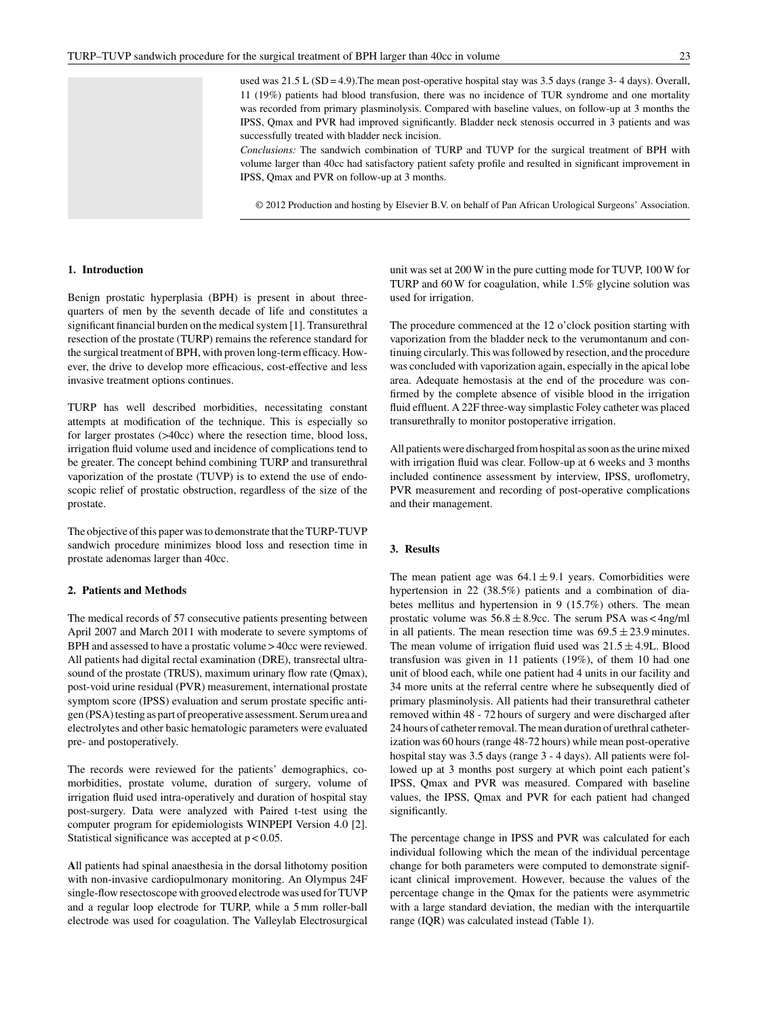used was  $21.5$  L (SD = 4.9). The mean post-operative hospital stay was  $3.5$  days (range  $3-4$  days). Overall, 11 (19%) patients had blood transfusion, there was no incidence of TUR syndrome and one mortality was recorded from primary plasminolysis. Compared with baseline values, on follow-up at 3 months the IPSS, Qmax and PVR had improved significantly. Bladder neck stenosis occurred in 3 patients and was successfully treated with bladder neck incision.

*Conclusions:* The sandwich combination of TURP and TUVP for the surgical treatment of BPH with volume larger than 40cc had satisfactory patient safety profile and resulted in significant improvement in IPSS, Qmax and PVR on follow-up at 3 months.

© 2012 Production and hosting by Elsevier B.V. on behalf of Pan African Urological Surgeons' Association.

#### **1. Introduction**

Benign prostatic hyperplasia (BPH) is present in about threequarters of men by the seventh decade of life and constitutes a significant financial burden on the medical system [1]. Transurethral resection of the prostate (TURP) remains the reference standard for the surgical treatment of BPH, with proven long-term efficacy. However, the drive to develop more efficacious, cost-effective and less invasive treatment options continues.

TURP has well described morbidities, necessitating constant attempts at modification of the technique. This is especially so for larger prostates (>40cc) where the resection time, blood loss, irrigation fluid volume used and incidence of complications tend to be greater. The concept behind combining TURP and transurethral vaporization of the prostate (TUVP) is to extend the use of endoscopic relief of prostatic obstruction, regardless of the size of the prostate.

The objective of this paper was to demonstrate that the TURP-TUVP sandwich procedure minimizes blood loss and resection time in prostate adenomas larger than 40cc.

# **2. Patients and Methods**

The medical records of 57 consecutive patients presenting between April 2007 and March 2011 with moderate to severe symptoms of BPH and assessed to have a prostatic volume > 40cc were reviewed. All patients had digital rectal examination (DRE), transrectal ultrasound of the prostate (TRUS), maximum urinary flow rate (Qmax), post-void urine residual (PVR) measurement, international prostate symptom score (IPSS) evaluation and serum prostate specific antigen (PSA) testing as part of preoperative assessment. Serum urea and electrolytes and other basic hematologic parameters were evaluated pre- and postoperatively.

The records were reviewed for the patients' demographics, comorbidities, prostate volume, duration of surgery, volume of irrigation fluid used intra-operatively and duration of hospital stay post-surgery. Data were analyzed with Paired t-test using the computer program for epidemiologists WINPEPI Version 4.0 [2]. Statistical significance was accepted at p < 0.05.

**A**ll patients had spinal anaesthesia in the dorsal lithotomy position with non-invasive cardiopulmonary monitoring. An Olympus 24F single-flow resectoscope with grooved electrode was used for TUVP and a regular loop electrode for TURP, while a 5 mm roller-ball electrode was used for coagulation. The Valleylab Electrosurgical unit was set at 200 W in the pure cutting mode for TUVP, 100 W for TURP and 60 W for coagulation, while 1.5% glycine solution was used for irrigation.

The procedure commenced at the 12 o'clock position starting with vaporization from the bladder neck to the verumontanum and continuing circularly. This was followed by resection, and the procedure was concluded with vaporization again, especially in the apical lobe area. Adequate hemostasis at the end of the procedure was confirmed by the complete absence of visible blood in the irrigation fluid effluent. A 22F three-way simplastic Foley catheter was placed transurethrally to monitor postoperative irrigation.

All patients were discharged from hospital as soon as the urine mixed with irrigation fluid was clear. Follow-up at 6 weeks and 3 months included continence assessment by interview, IPSS, uroflometry, PVR measurement and recording of post-operative complications and their management.

### **3. Results**

The mean patient age was  $64.1 \pm 9.1$  years. Comorbidities were hypertension in 22 (38.5%) patients and a combination of diabetes mellitus and hypertension in 9 (15.7%) others. The mean prostatic volume was  $56.8 \pm 8.9$ cc. The serum PSA was < 4ng/ml in all patients. The mean resection time was  $69.5 \pm 23.9$  minutes. The mean volume of irrigation fluid used was  $21.5 \pm 4.9$ L. Blood transfusion was given in 11 patients (19%), of them 10 had one unit of blood each, while one patient had 4 units in our facility and 34 more units at the referral centre where he subsequently died of primary plasminolysis. All patients had their transurethral catheter removed within 48 - 72 hours of surgery and were discharged after 24 hours of catheter removal. The mean duration of urethral catheterization was 60 hours (range 48-72 hours) while mean post-operative hospital stay was 3.5 days (range 3 - 4 days). All patients were followed up at 3 months post surgery at which point each patient's IPSS, Qmax and PVR was measured. Compared with baseline values, the IPSS, Qmax and PVR for each patient had changed significantly.

The percentage change in IPSS and PVR was calculated for each individual following which the mean of the individual percentage change for both parameters were computed to demonstrate significant clinical improvement. However, because the values of the percentage change in the Qmax for the patients were asymmetric with a large standard deviation, the median with the interquartile range (IQR) was calculated instead (Table 1).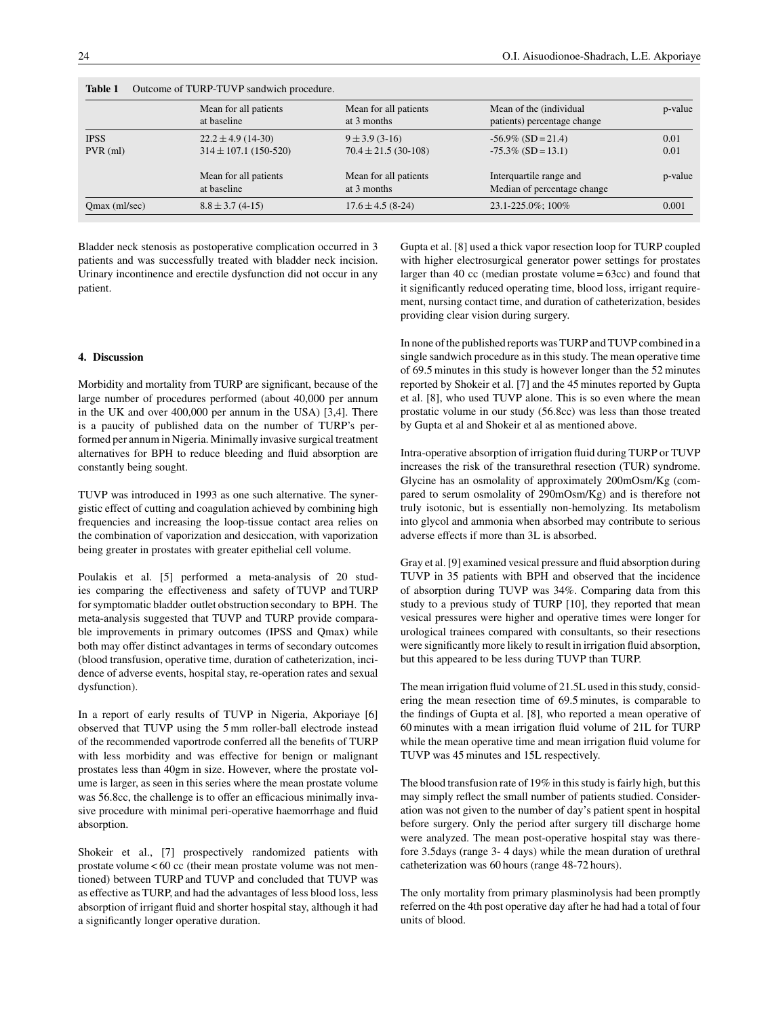| Outcome of TURP-TUVP sandwich procedure.<br><b>Table 1</b> |                                                     |                                               |                                                        |              |  |
|------------------------------------------------------------|-----------------------------------------------------|-----------------------------------------------|--------------------------------------------------------|--------------|--|
|                                                            | Mean for all patients<br>at baseline                | Mean for all patients<br>at 3 months          | Mean of the (individual<br>patients) percentage change | p-value      |  |
| <b>IPSS</b><br>$PVR$ (ml)                                  | $22.2 \pm 4.9$ (14-30)<br>$314 \pm 107.1$ (150-520) | $9 \pm 3.9$ (3-16)<br>$70.4 \pm 21.5(30-108)$ | $-56.9\%$ (SD = 21.4)<br>$-75.3\%$ (SD = 13.1)         | 0.01<br>0.01 |  |
|                                                            | Mean for all patients<br>at baseline                | Mean for all patients<br>at 3 months          | Interquartile range and<br>Median of percentage change | p-value      |  |
| Qmax (ml/sec)                                              | $8.8 \pm 3.7(4-15)$                                 | $17.6 \pm 4.5$ (8-24)                         | 23.1-225.0%; 100%                                      | 0.001        |  |

Bladder neck stenosis as postoperative complication occurred in 3 patients and was successfully treated with bladder neck incision. Urinary incontinence and erectile dysfunction did not occur in any patient.

# **4. Discussion**

Morbidity and mortality from TURP are significant, because of the large number of procedures performed (about 40,000 per annum in the UK and over 400,000 per annum in the USA) [3,4]. There is a paucity of published data on the number of TURP's performed per annum in Nigeria. Minimally invasive surgical treatment alternatives for BPH to reduce bleeding and fluid absorption are constantly being sought.

TUVP was introduced in 1993 as one such alternative. The synergistic effect of cutting and coagulation achieved by combining high frequencies and increasing the loop-tissue contact area relies on the combination of vaporization and desiccation, with vaporization being greater in prostates with greater epithelial cell volume.

Poulakis et al. [5] performed a meta-analysis of 20 studies comparing the effectiveness and safety of TUVP and TURP for symptomatic bladder outlet obstruction secondary to BPH. The meta-analysis suggested that TUVP and TURP provide comparable improvements in primary outcomes (IPSS and Qmax) while both may offer distinct advantages in terms of secondary outcomes (blood transfusion, operative time, duration of catheterization, incidence of adverse events, hospital stay, re-operation rates and sexual dysfunction).

In a report of early results of TUVP in Nigeria, Akporiaye [6] observed that TUVP using the 5 mm roller-ball electrode instead of the recommended vaportrode conferred all the benefits of TURP with less morbidity and was effective for benign or malignant prostates less than 40gm in size. However, where the prostate volume is larger, as seen in this series where the mean prostate volume was 56.8cc, the challenge is to offer an efficacious minimally invasive procedure with minimal peri-operative haemorrhage and fluid absorption.

Shokeir et al., [7] prospectively randomized patients with prostate volume < 60 cc (their mean prostate volume was not mentioned) between TURP and TUVP and concluded that TUVP was as effective as TURP, and had the advantages of less blood loss, less absorption of irrigant fluid and shorter hospital stay, although it had a significantly longer operative duration.

Gupta et al. [8] used a thick vapor resection loop for TURP coupled with higher electrosurgical generator power settings for prostates larger than 40 cc (median prostate volume = 63cc) and found that it significantly reduced operating time, blood loss, irrigant requirement, nursing contact time, and duration of catheterization, besides providing clear vision during surgery.

In none of the published reports was TURP and TUVP combined in a single sandwich procedure as in this study. The mean operative time of 69.5 minutes in this study is however longer than the 52 minutes reported by Shokeir et al. [7] and the 45 minutes reported by Gupta et al. [8], who used TUVP alone. This is so even where the mean prostatic volume in our study (56.8cc) was less than those treated by Gupta et al and Shokeir et al as mentioned above.

Intra-operative absorption of irrigation fluid during TURP or TUVP increases the risk of the transurethral resection (TUR) syndrome. Glycine has an osmolality of approximately 200mOsm/Kg (compared to serum osmolality of 290mOsm/Kg) and is therefore not truly isotonic, but is essentially non-hemolyzing. Its metabolism into glycol and ammonia when absorbed may contribute to serious adverse effects if more than 3L is absorbed.

Gray et al. [9] examined vesical pressure and fluid absorption during TUVP in 35 patients with BPH and observed that the incidence of absorption during TUVP was 34%. Comparing data from this study to a previous study of TURP [10], they reported that mean vesical pressures were higher and operative times were longer for urological trainees compared with consultants, so their resections were significantly more likely to result in irrigation fluid absorption, but this appeared to be less during TUVP than TURP.

The mean irrigation fluid volume of 21.5L used in this study, considering the mean resection time of 69.5 minutes, is comparable to the findings of Gupta et al. [8], who reported a mean operative of 60 minutes with a mean irrigation fluid volume of 21L for TURP while the mean operative time and mean irrigation fluid volume for TUVP was 45 minutes and 15L respectively.

The blood transfusion rate of 19% in this study is fairly high, but this may simply reflect the small number of patients studied. Consideration was not given to the number of day's patient spent in hospital before surgery. Only the period after surgery till discharge home were analyzed. The mean post-operative hospital stay was therefore 3.5days (range 3- 4 days) while the mean duration of urethral catheterization was 60 hours (range 48-72 hours).

The only mortality from primary plasminolysis had been promptly referred on the 4th post operative day after he had had a total of four units of blood.